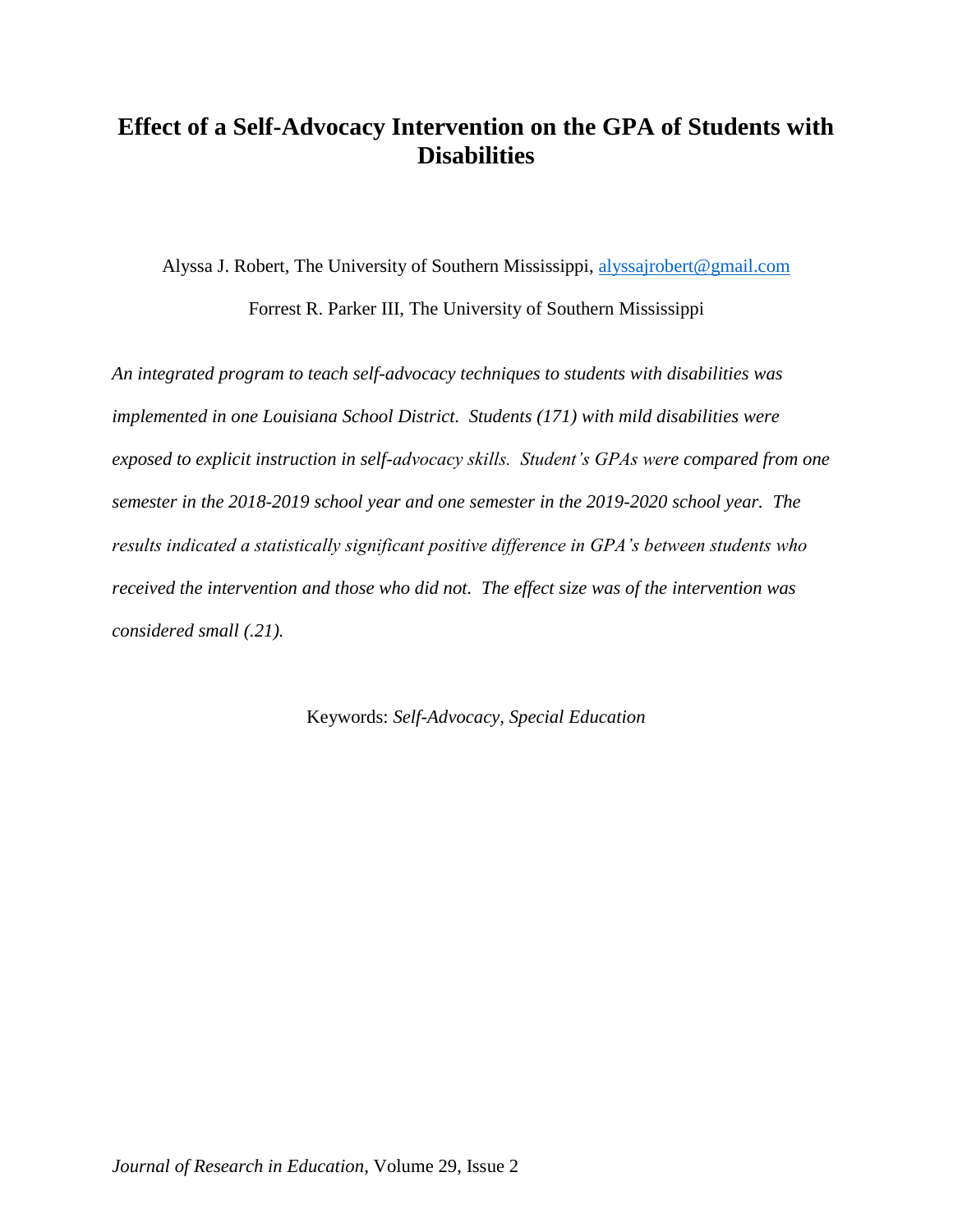# **Effect of a Self-Advocacy Intervention on the GPA of Students with Disabilities**

Alyssa J. Robert, The University of Southern Mississippi, [alyssajrobert@gmail.com](mailto:alyssajrobert@gmail.com) Forrest R. Parker III, The University of Southern Mississippi

*An integrated program to teach self-advocacy techniques to students with disabilities was implemented in one Louisiana School District. Students (171) with mild disabilities were exposed to explicit instruction in self-advocacy skills. Student's GPAs were compared from one semester in the 2018-2019 school year and one semester in the 2019-2020 school year. The results indicated a statistically significant positive difference in GPA's between students who received the intervention and those who did not. The effect size was of the intervention was considered small (.21).* 

Keywords: *Self-Advocacy, Special Education*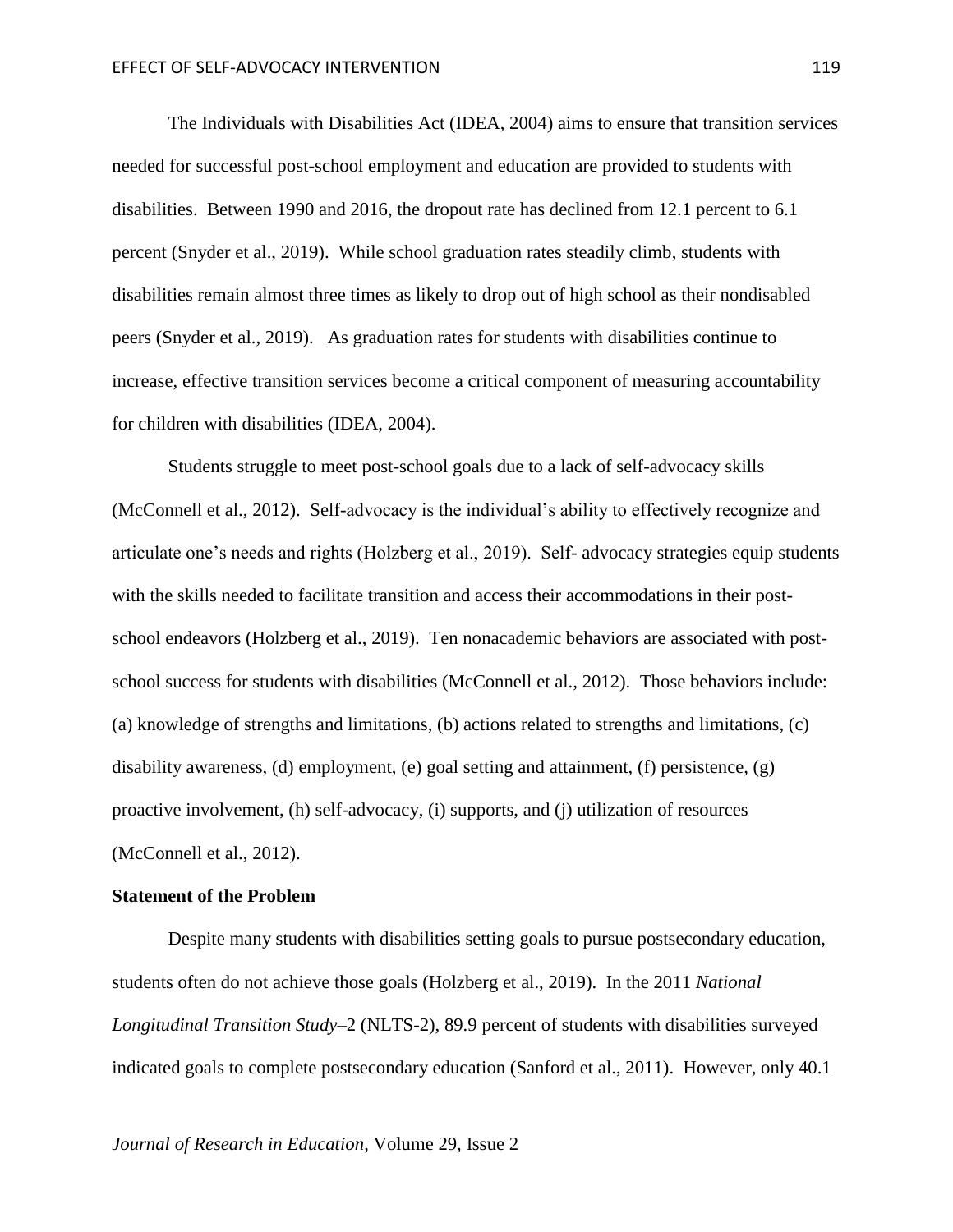The Individuals with Disabilities Act (IDEA, 2004) aims to ensure that transition services needed for successful post-school employment and education are provided to students with disabilities. Between 1990 and 2016, the dropout rate has declined from 12.1 percent to 6.1 percent (Snyder et al., 2019). While school graduation rates steadily climb, students with disabilities remain almost three times as likely to drop out of high school as their nondisabled peers (Snyder et al., 2019). As graduation rates for students with disabilities continue to increase, effective transition services become a critical component of measuring accountability for children with disabilities (IDEA, 2004).

Students struggle to meet post-school goals due to a lack of self-advocacy skills (McConnell et al., 2012). Self-advocacy is the individual's ability to effectively recognize and articulate one's needs and rights (Holzberg et al., 2019). Self- advocacy strategies equip students with the skills needed to facilitate transition and access their accommodations in their postschool endeavors (Holzberg et al., 2019). Ten nonacademic behaviors are associated with postschool success for students with disabilities (McConnell et al., 2012). Those behaviors include: (a) knowledge of strengths and limitations, (b) actions related to strengths and limitations, (c) disability awareness, (d) employment, (e) goal setting and attainment, (f) persistence, (g) proactive involvement, (h) self-advocacy, (i) supports, and (j) utilization of resources (McConnell et al., 2012).

### **Statement of the Problem**

Despite many students with disabilities setting goals to pursue postsecondary education, students often do not achieve those goals (Holzberg et al., 2019). In the 2011 *National Longitudinal Transition Study–*2 (NLTS-2), 89.9 percent of students with disabilities surveyed indicated goals to complete postsecondary education (Sanford et al., 2011). However, only 40.1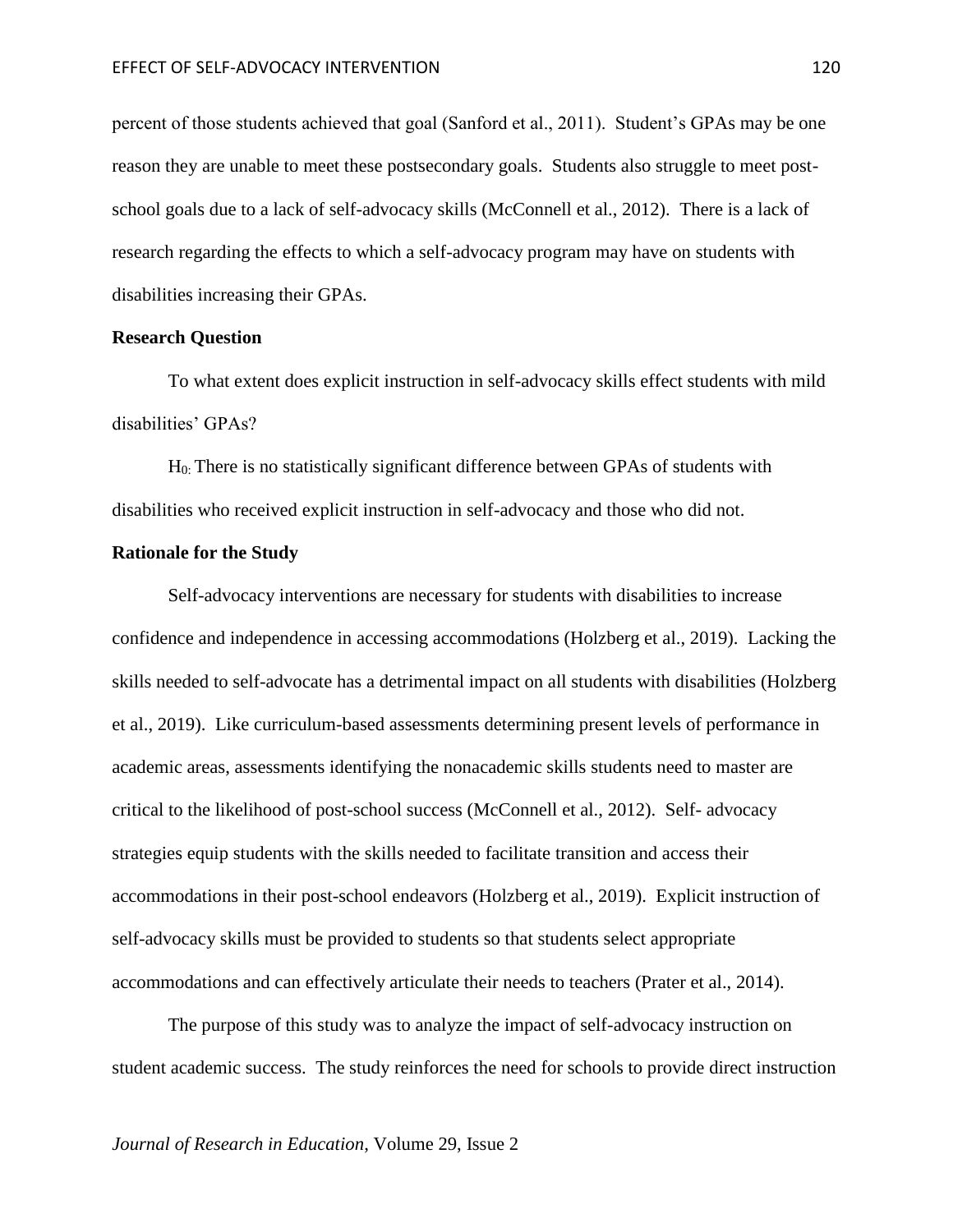percent of those students achieved that goal (Sanford et al., 2011). Student's GPAs may be one reason they are unable to meet these postsecondary goals. Students also struggle to meet postschool goals due to a lack of self-advocacy skills (McConnell et al., 2012). There is a lack of research regarding the effects to which a self-advocacy program may have on students with disabilities increasing their GPAs.

### **Research Question**

To what extent does explicit instruction in self-advocacy skills effect students with mild disabilities' GPAs?

H0: There is no statistically significant difference between GPAs of students with disabilities who received explicit instruction in self-advocacy and those who did not.

### **Rationale for the Study**

Self-advocacy interventions are necessary for students with disabilities to increase confidence and independence in accessing accommodations (Holzberg et al., 2019). Lacking the skills needed to self-advocate has a detrimental impact on all students with disabilities (Holzberg et al., 2019). Like curriculum-based assessments determining present levels of performance in academic areas, assessments identifying the nonacademic skills students need to master are critical to the likelihood of post-school success (McConnell et al., 2012). Self- advocacy strategies equip students with the skills needed to facilitate transition and access their accommodations in their post-school endeavors (Holzberg et al., 2019). Explicit instruction of self-advocacy skills must be provided to students so that students select appropriate accommodations and can effectively articulate their needs to teachers (Prater et al., 2014).

The purpose of this study was to analyze the impact of self-advocacy instruction on student academic success. The study reinforces the need for schools to provide direct instruction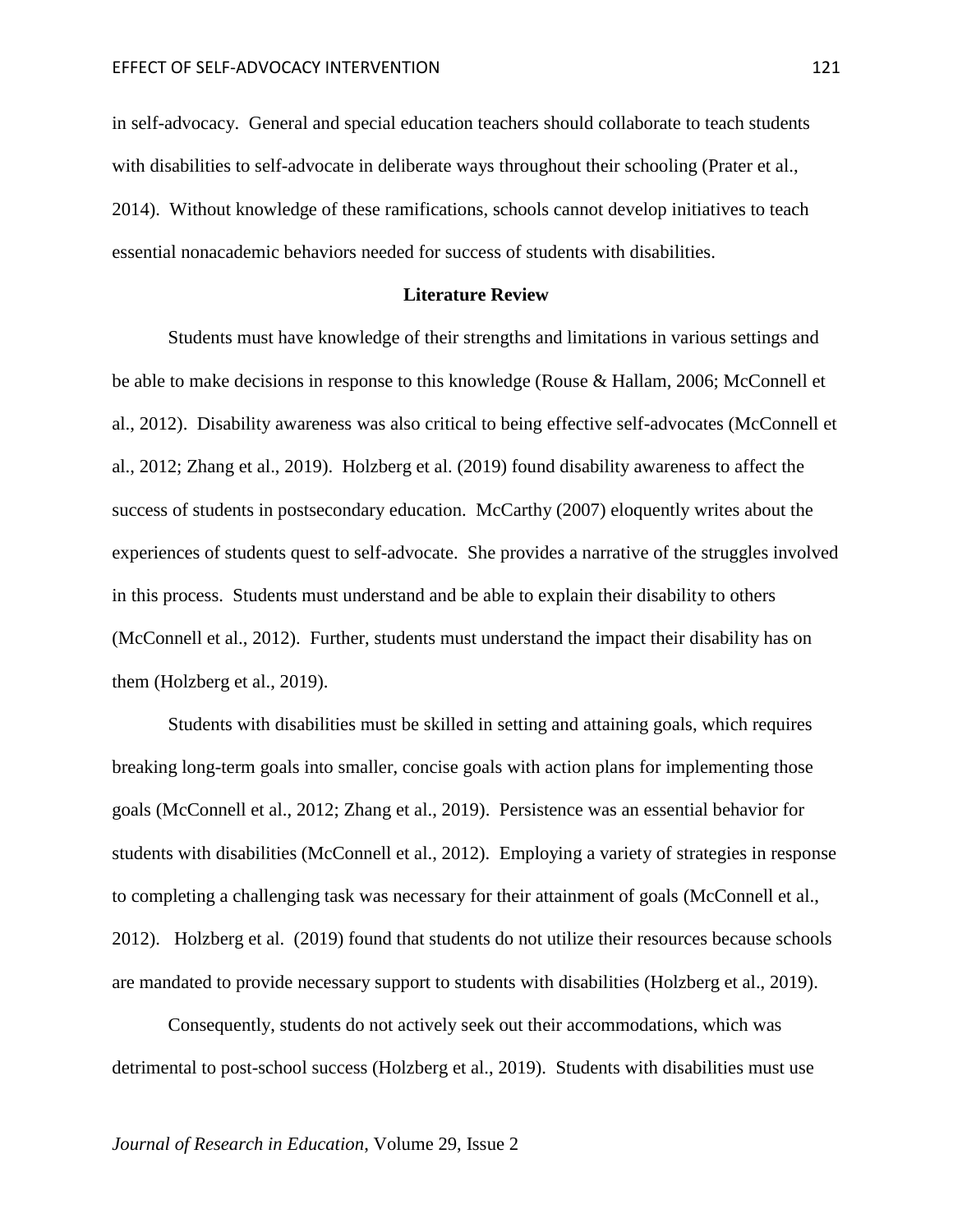in self-advocacy. General and special education teachers should collaborate to teach students with disabilities to self-advocate in deliberate ways throughout their schooling (Prater et al., 2014). Without knowledge of these ramifications, schools cannot develop initiatives to teach essential nonacademic behaviors needed for success of students with disabilities.

### **Literature Review**

Students must have knowledge of their strengths and limitations in various settings and be able to make decisions in response to this knowledge (Rouse & Hallam, 2006; McConnell et al., 2012). Disability awareness was also critical to being effective self-advocates (McConnell et al., 2012; Zhang et al., 2019). Holzberg et al. (2019) found disability awareness to affect the success of students in postsecondary education. McCarthy (2007) eloquently writes about the experiences of students quest to self-advocate. She provides a narrative of the struggles involved in this process. Students must understand and be able to explain their disability to others (McConnell et al., 2012). Further, students must understand the impact their disability has on them (Holzberg et al., 2019).

Students with disabilities must be skilled in setting and attaining goals, which requires breaking long-term goals into smaller, concise goals with action plans for implementing those goals (McConnell et al., 2012; Zhang et al., 2019). Persistence was an essential behavior for students with disabilities (McConnell et al., 2012). Employing a variety of strategies in response to completing a challenging task was necessary for their attainment of goals (McConnell et al., 2012). Holzberg et al. (2019) found that students do not utilize their resources because schools are mandated to provide necessary support to students with disabilities (Holzberg et al., 2019).

Consequently, students do not actively seek out their accommodations, which was detrimental to post-school success (Holzberg et al., 2019). Students with disabilities must use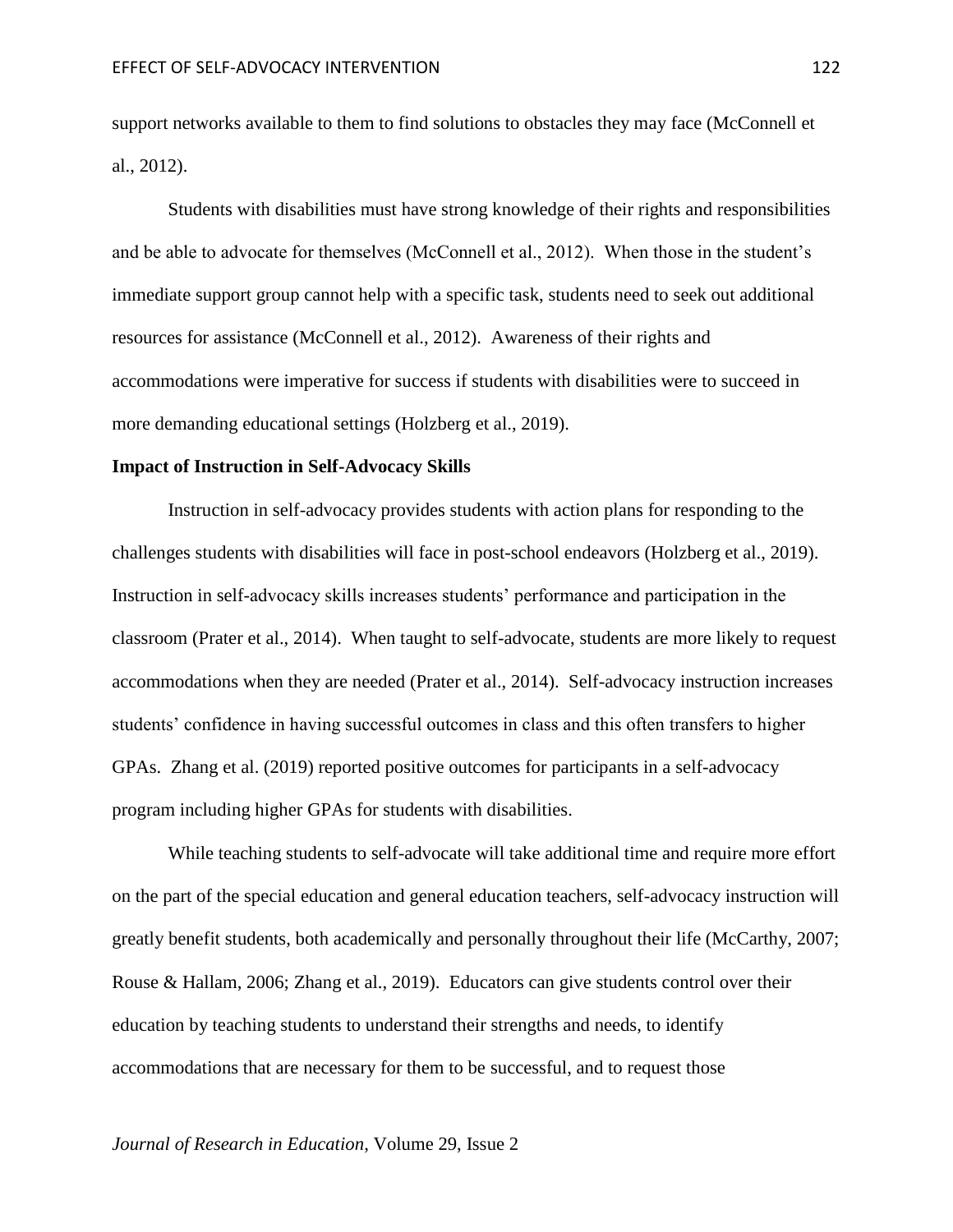support networks available to them to find solutions to obstacles they may face (McConnell et al., 2012).

Students with disabilities must have strong knowledge of their rights and responsibilities and be able to advocate for themselves (McConnell et al., 2012). When those in the student's immediate support group cannot help with a specific task, students need to seek out additional resources for assistance (McConnell et al., 2012). Awareness of their rights and accommodations were imperative for success if students with disabilities were to succeed in more demanding educational settings (Holzberg et al., 2019).

### **Impact of Instruction in Self-Advocacy Skills**

Instruction in self-advocacy provides students with action plans for responding to the challenges students with disabilities will face in post-school endeavors (Holzberg et al., 2019). Instruction in self-advocacy skills increases students' performance and participation in the classroom (Prater et al., 2014). When taught to self-advocate, students are more likely to request accommodations when they are needed (Prater et al., 2014). Self-advocacy instruction increases students' confidence in having successful outcomes in class and this often transfers to higher GPAs. Zhang et al. (2019) reported positive outcomes for participants in a self-advocacy program including higher GPAs for students with disabilities.

While teaching students to self-advocate will take additional time and require more effort on the part of the special education and general education teachers, self-advocacy instruction will greatly benefit students, both academically and personally throughout their life (McCarthy, 2007; Rouse & Hallam, 2006; Zhang et al., 2019). Educators can give students control over their education by teaching students to understand their strengths and needs, to identify accommodations that are necessary for them to be successful, and to request those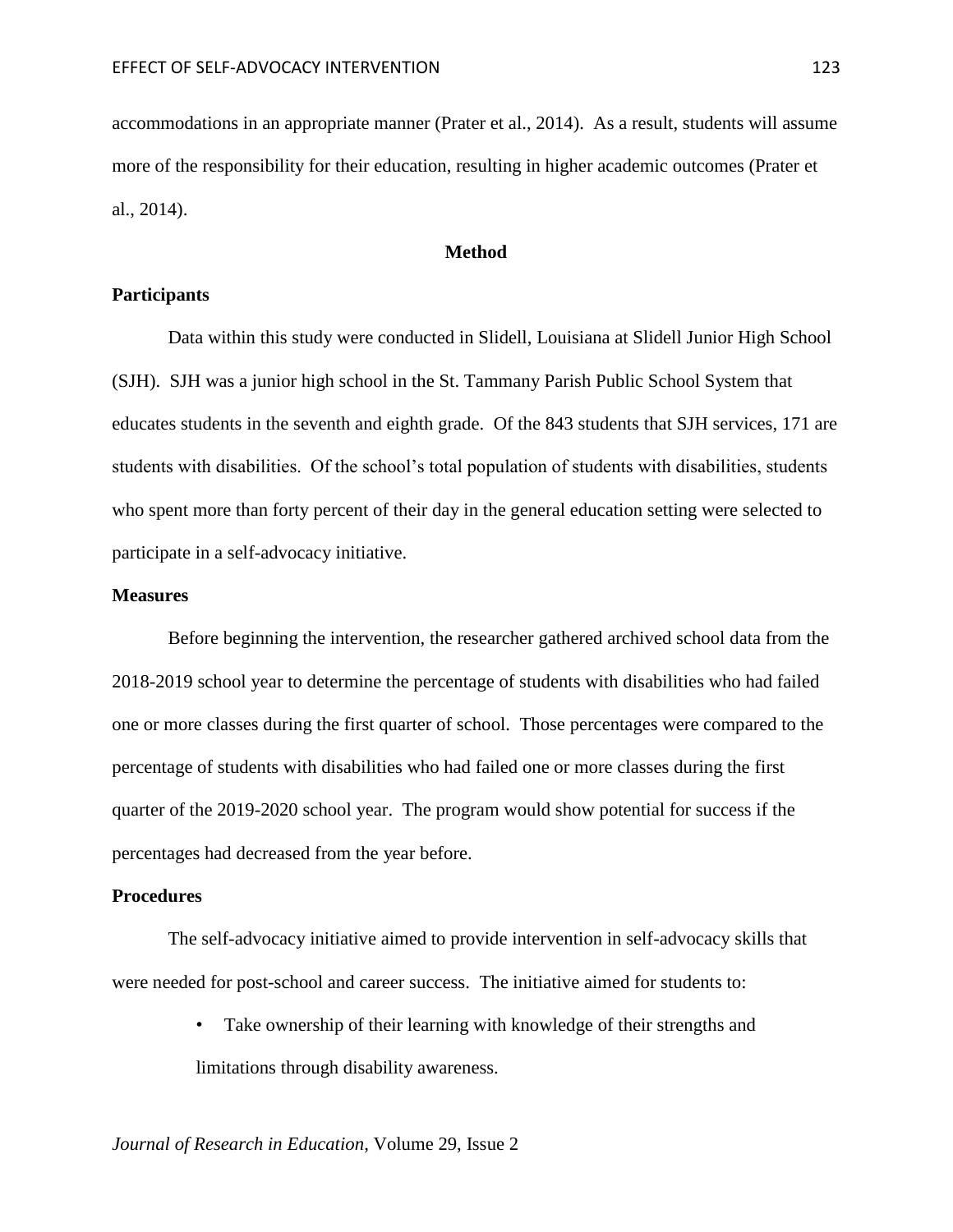accommodations in an appropriate manner (Prater et al., 2014). As a result, students will assume more of the responsibility for their education, resulting in higher academic outcomes (Prater et al., 2014).

# **Method**

## **Participants**

Data within this study were conducted in Slidell, Louisiana at Slidell Junior High School (SJH). SJH was a junior high school in the St. Tammany Parish Public School System that educates students in the seventh and eighth grade. Of the 843 students that SJH services, 171 are students with disabilities. Of the school's total population of students with disabilities, students who spent more than forty percent of their day in the general education setting were selected to participate in a self-advocacy initiative.

### **Measures**

Before beginning the intervention, the researcher gathered archived school data from the 2018-2019 school year to determine the percentage of students with disabilities who had failed one or more classes during the first quarter of school. Those percentages were compared to the percentage of students with disabilities who had failed one or more classes during the first quarter of the 2019-2020 school year. The program would show potential for success if the percentages had decreased from the year before.

### **Procedures**

The self-advocacy initiative aimed to provide intervention in self-advocacy skills that were needed for post-school and career success. The initiative aimed for students to:

> • Take ownership of their learning with knowledge of their strengths and limitations through disability awareness.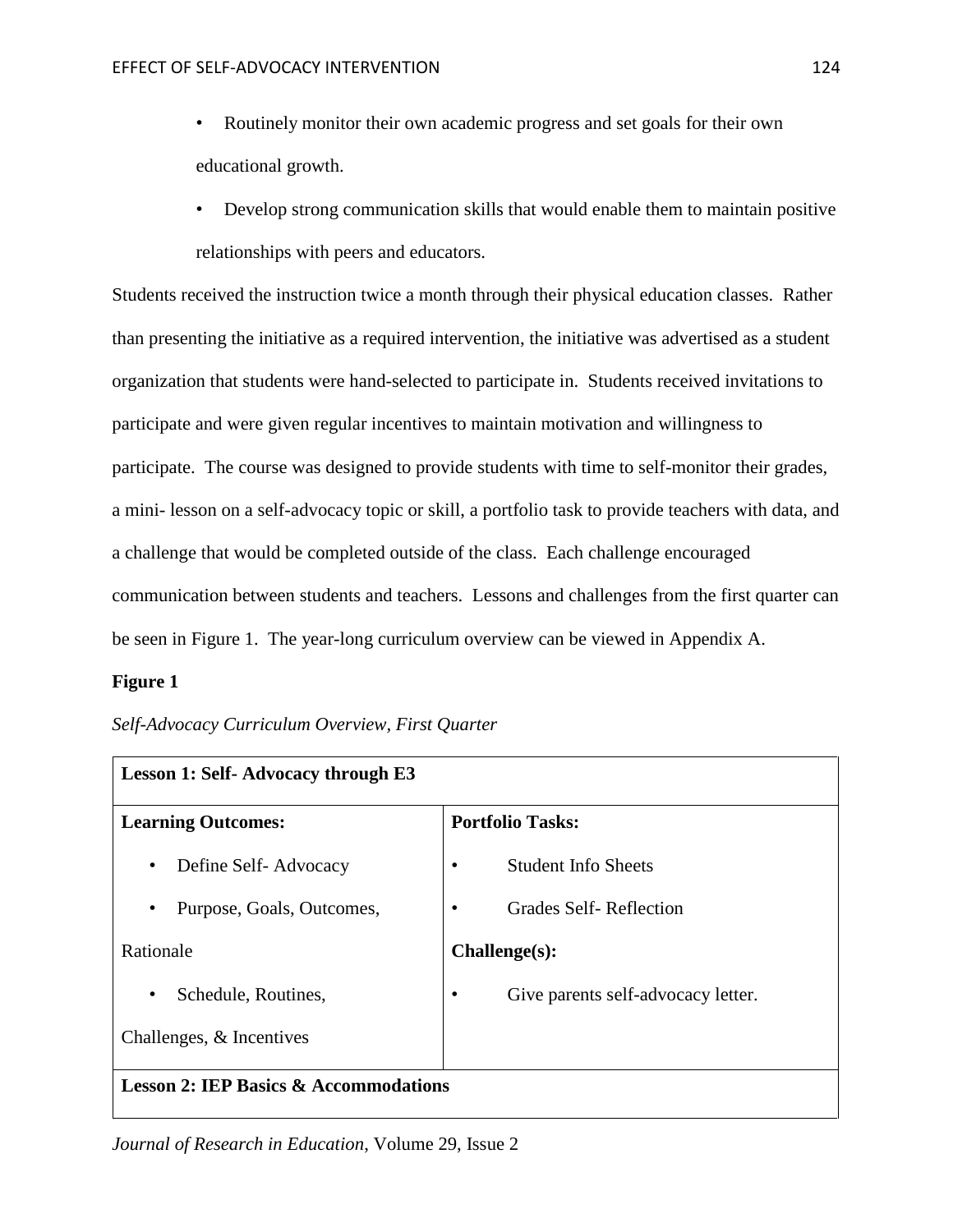- Routinely monitor their own academic progress and set goals for their own educational growth.
- Develop strong communication skills that would enable them to maintain positive relationships with peers and educators.

Students received the instruction twice a month through their physical education classes. Rather than presenting the initiative as a required intervention, the initiative was advertised as a student organization that students were hand-selected to participate in. Students received invitations to participate and were given regular incentives to maintain motivation and willingness to participate. The course was designed to provide students with time to self-monitor their grades, a mini- lesson on a self-advocacy topic or skill, a portfolio task to provide teachers with data, and a challenge that would be completed outside of the class. Each challenge encouraged communication between students and teachers. Lessons and challenges from the first quarter can be seen in Figure 1. The year-long curriculum overview can be viewed in Appendix A.

# **Figure 1**

| Self-Advocacy Curriculum Overview, First Quarter |  |  |
|--------------------------------------------------|--|--|
|                                                  |  |  |

| <b>Lesson 1: Self- Advocacy through E3</b>       |                                    |  |
|--------------------------------------------------|------------------------------------|--|
| <b>Learning Outcomes:</b>                        | <b>Portfolio Tasks:</b>            |  |
| Define Self-Advocacy<br>$\bullet$                | <b>Student Info Sheets</b>         |  |
| Purpose, Goals, Outcomes,<br>$\bullet$           | Grades Self-Reflection             |  |
| Rationale                                        | Challenge(s):                      |  |
| Schedule, Routines,<br>٠                         | Give parents self-advocacy letter. |  |
| Challenges, & Incentives                         |                                    |  |
| <b>Lesson 2: IEP Basics &amp; Accommodations</b> |                                    |  |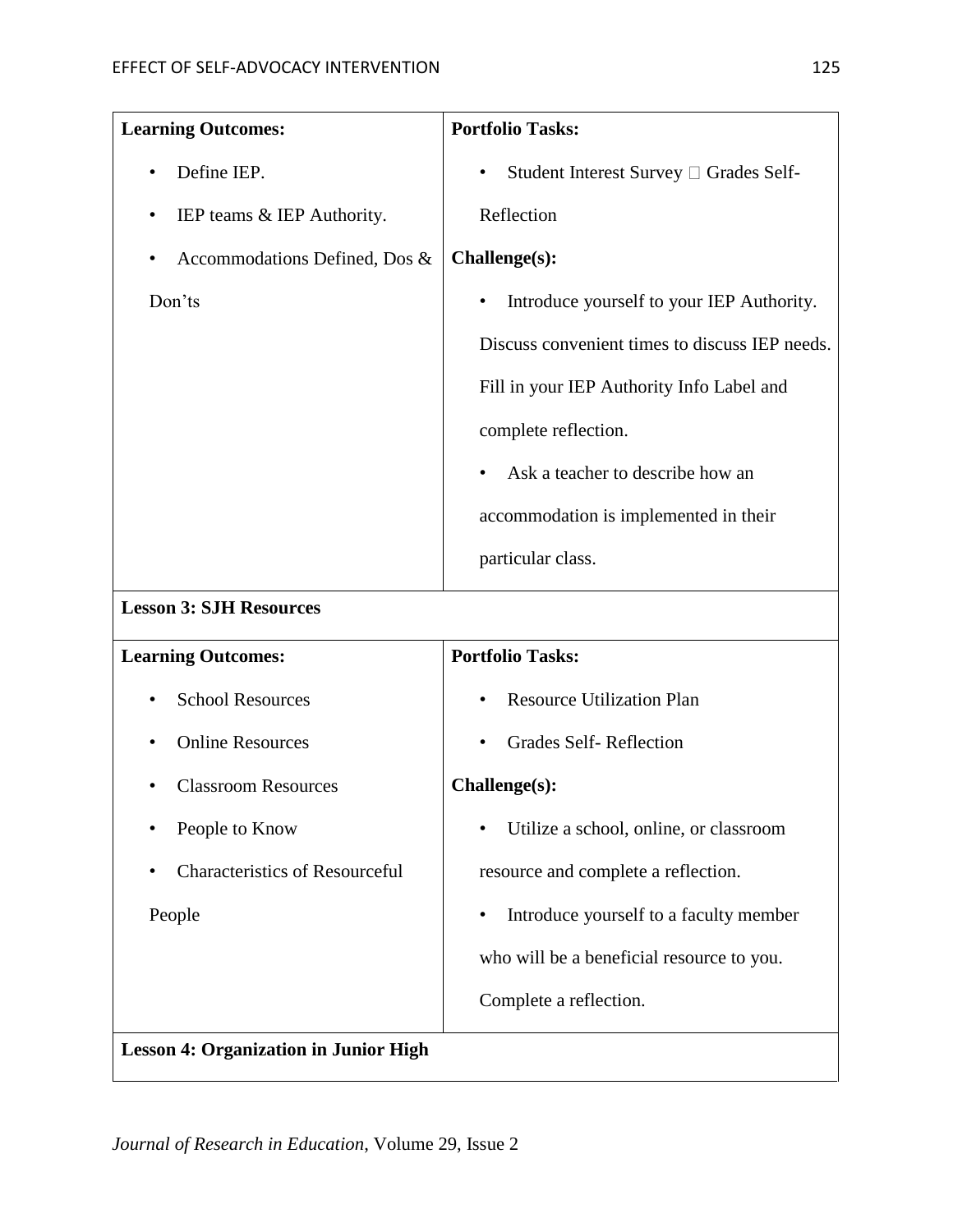| <b>Learning Outcomes:</b>                    | <b>Portfolio Tasks:</b>                             |
|----------------------------------------------|-----------------------------------------------------|
| Define IEP.                                  | Student Interest Survey □ Grades Self-<br>$\bullet$ |
| IEP teams & IEP Authority.<br>٠              | Reflection                                          |
| Accommodations Defined, Dos &                | Challenge(s):                                       |
| Don'ts                                       | Introduce yourself to your IEP Authority.<br>٠      |
|                                              | Discuss convenient times to discuss IEP needs.      |
|                                              | Fill in your IEP Authority Info Label and           |
|                                              | complete reflection.                                |
|                                              | Ask a teacher to describe how an                    |
|                                              | accommodation is implemented in their               |
|                                              | particular class.                                   |
| <b>Lesson 3: SJH Resources</b>               |                                                     |
| <b>Learning Outcomes:</b>                    | <b>Portfolio Tasks:</b>                             |
| <b>School Resources</b>                      | <b>Resource Utilization Plan</b>                    |
| <b>Online Resources</b>                      | <b>Grades Self-Reflection</b>                       |
| <b>Classroom Resources</b>                   | Challenge(s):                                       |
| People to Know                               | Utilize a school, online, or classroom              |
| <b>Characteristics of Resourceful</b>        | resource and complete a reflection.                 |
| People                                       | Introduce yourself to a faculty member              |
|                                              | who will be a beneficial resource to you.           |
|                                              | Complete a reflection.                              |
| <b>Lesson 4: Organization in Junior High</b> |                                                     |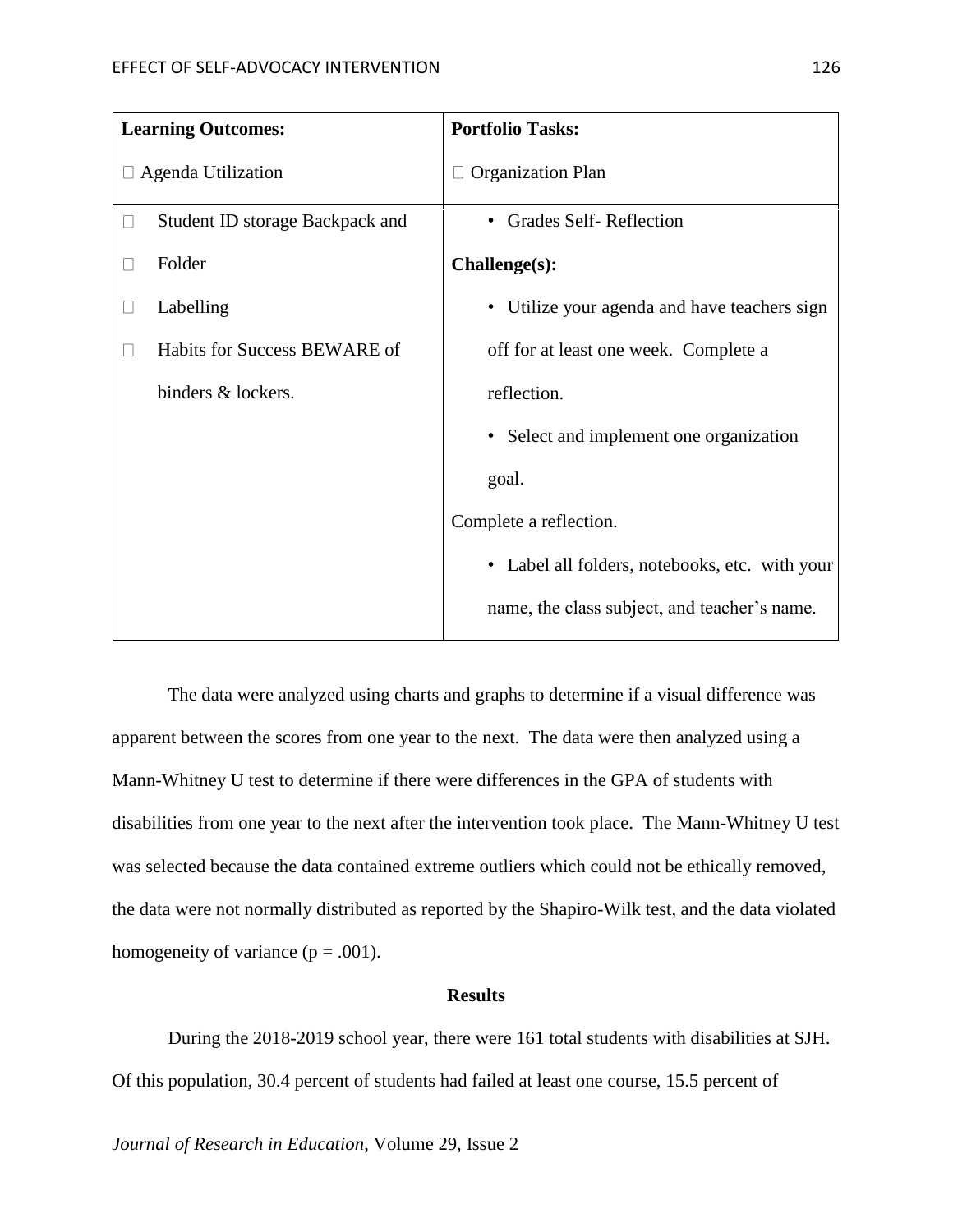|              | <b>Learning Outcomes:</b>       | <b>Portfolio Tasks:</b>                        |
|--------------|---------------------------------|------------------------------------------------|
|              | $\Box$ Agenda Utilization       | <b>Organization Plan</b>                       |
| $\Box$       | Student ID storage Backpack and | • Grades Self-Reflection                       |
|              | Folder                          | Challenge(s):                                  |
|              | Labelling                       | • Utilize your agenda and have teachers sign   |
| $\mathbf{L}$ | Habits for Success BEWARE of    | off for at least one week. Complete a          |
|              | binders & lockers.              | reflection.                                    |
|              |                                 | • Select and implement one organization        |
|              |                                 | goal.                                          |
|              |                                 | Complete a reflection.                         |
|              |                                 | • Label all folders, notebooks, etc. with your |
|              |                                 | name, the class subject, and teacher's name.   |

The data were analyzed using charts and graphs to determine if a visual difference was apparent between the scores from one year to the next. The data were then analyzed using a Mann-Whitney U test to determine if there were differences in the GPA of students with disabilities from one year to the next after the intervention took place. The Mann-Whitney U test was selected because the data contained extreme outliers which could not be ethically removed, the data were not normally distributed as reported by the Shapiro-Wilk test, and the data violated homogeneity of variance  $(p = .001)$ .

### **Results**

During the 2018-2019 school year, there were 161 total students with disabilities at SJH. Of this population, 30.4 percent of students had failed at least one course, 15.5 percent of

*Journal of Research in Education*, Volume 29, Issue 2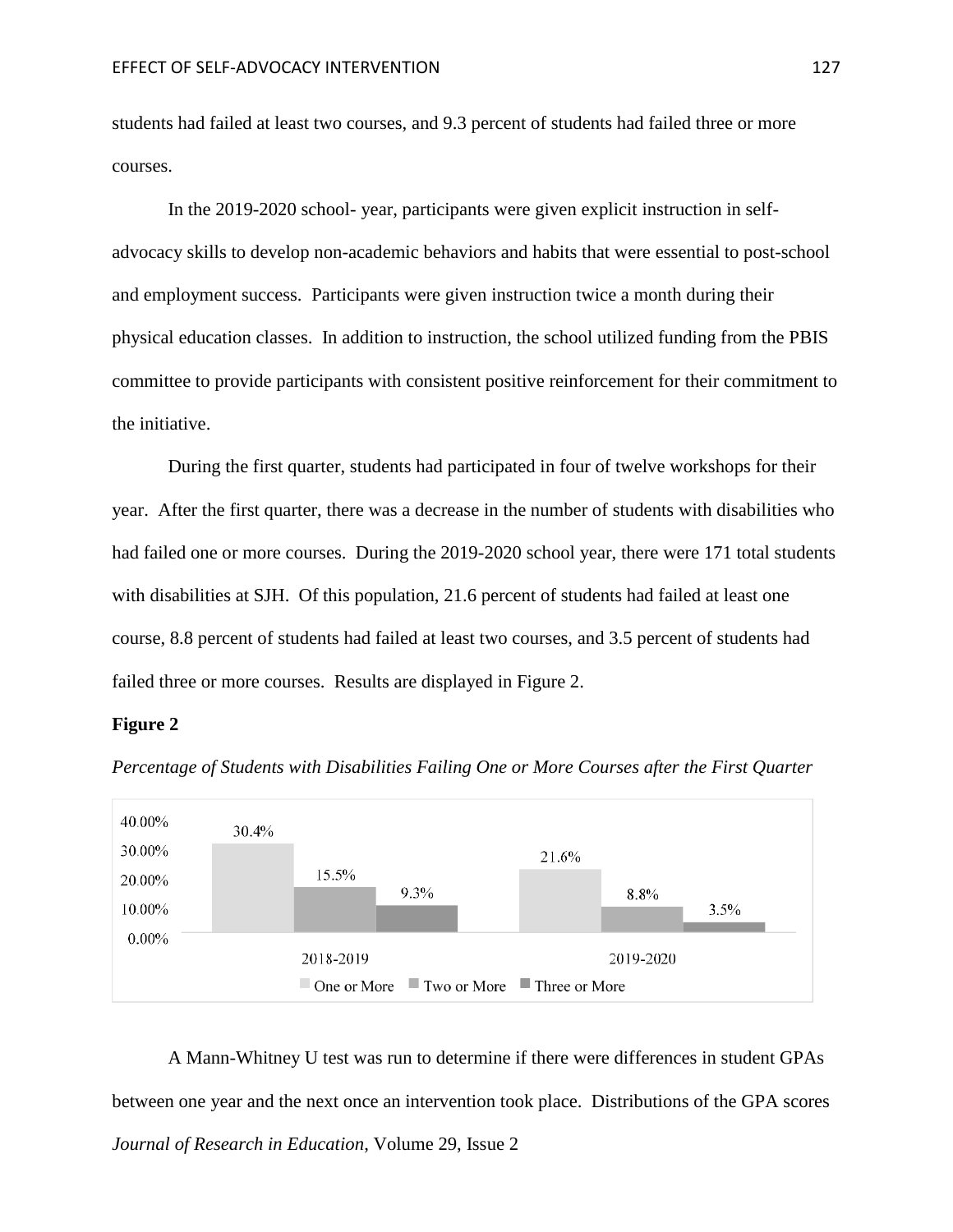students had failed at least two courses, and 9.3 percent of students had failed three or more courses.

In the 2019-2020 school- year, participants were given explicit instruction in selfadvocacy skills to develop non-academic behaviors and habits that were essential to post-school and employment success. Participants were given instruction twice a month during their physical education classes. In addition to instruction, the school utilized funding from the PBIS committee to provide participants with consistent positive reinforcement for their commitment to the initiative.

During the first quarter, students had participated in four of twelve workshops for their year. After the first quarter, there was a decrease in the number of students with disabilities who had failed one or more courses. During the 2019-2020 school year, there were 171 total students with disabilities at SJH. Of this population, 21.6 percent of students had failed at least one course, 8.8 percent of students had failed at least two courses, and 3.5 percent of students had failed three or more courses. Results are displayed in Figure 2.

### **Figure 2**



*Percentage of Students with Disabilities Failing One or More Courses after the First Quarter*

*Journal of Research in Education*, Volume 29, Issue 2 A Mann-Whitney U test was run to determine if there were differences in student GPAs between one year and the next once an intervention took place. Distributions of the GPA scores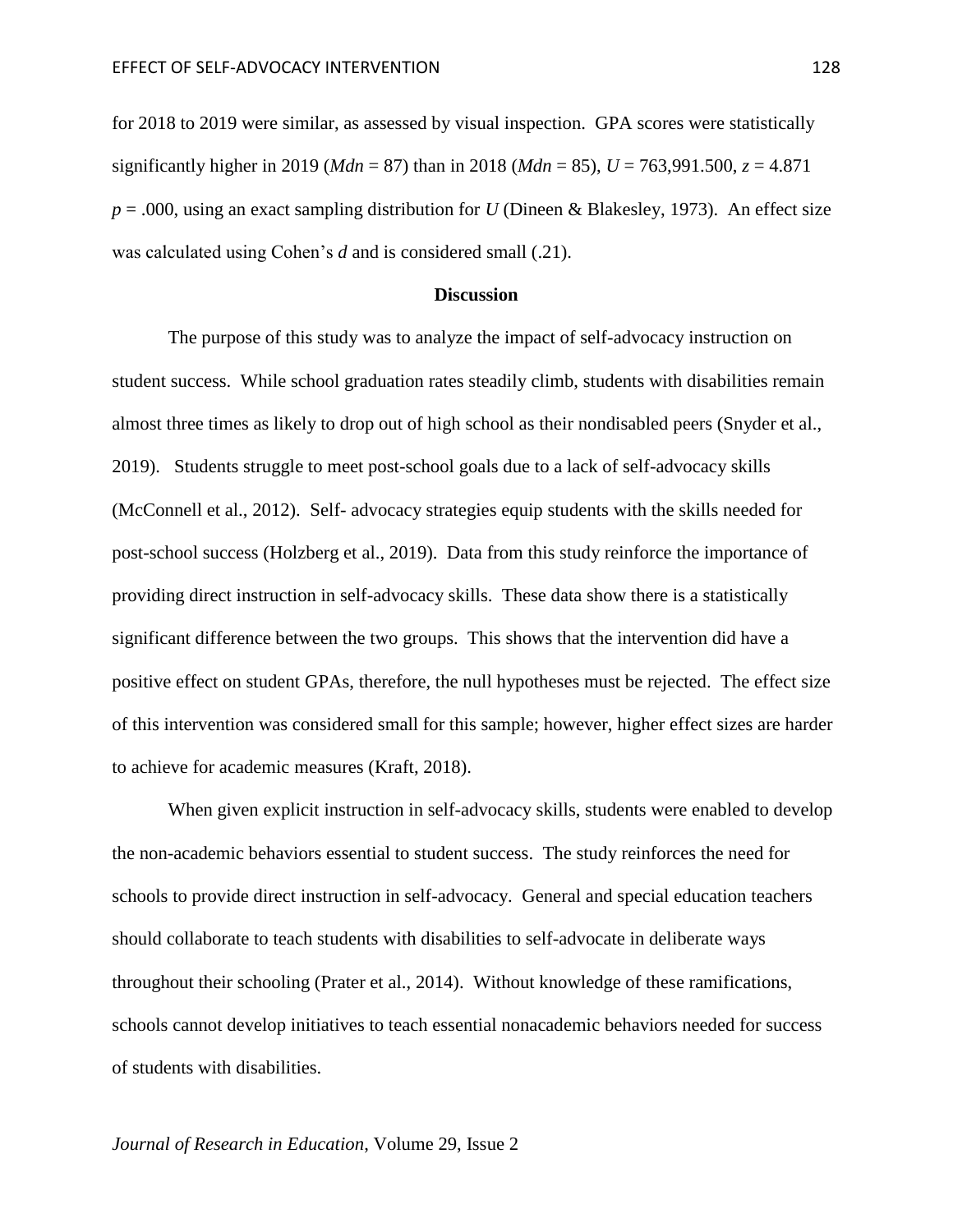for 2018 to 2019 were similar, as assessed by visual inspection. GPA scores were statistically significantly higher in 2019 (*Mdn* = 87) than in 2018 (*Mdn* = 85),  $U = 763,991.500$ ,  $z = 4.871$ *p* = .000, using an exact sampling distribution for *U* (Dineen & Blakesley, 1973). An effect size was calculated using Cohen's *d* and is considered small (.21).

### **Discussion**

The purpose of this study was to analyze the impact of self-advocacy instruction on student success. While school graduation rates steadily climb, students with disabilities remain almost three times as likely to drop out of high school as their nondisabled peers (Snyder et al., 2019). Students struggle to meet post-school goals due to a lack of self-advocacy skills (McConnell et al., 2012). Self- advocacy strategies equip students with the skills needed for post-school success (Holzberg et al., 2019). Data from this study reinforce the importance of providing direct instruction in self-advocacy skills. These data show there is a statistically significant difference between the two groups. This shows that the intervention did have a positive effect on student GPAs, therefore, the null hypotheses must be rejected. The effect size of this intervention was considered small for this sample; however, higher effect sizes are harder to achieve for academic measures (Kraft, 2018).

When given explicit instruction in self-advocacy skills, students were enabled to develop the non-academic behaviors essential to student success. The study reinforces the need for schools to provide direct instruction in self-advocacy. General and special education teachers should collaborate to teach students with disabilities to self-advocate in deliberate ways throughout their schooling (Prater et al., 2014). Without knowledge of these ramifications, schools cannot develop initiatives to teach essential nonacademic behaviors needed for success of students with disabilities.

### *Journal of Research in Education*, Volume 29, Issue 2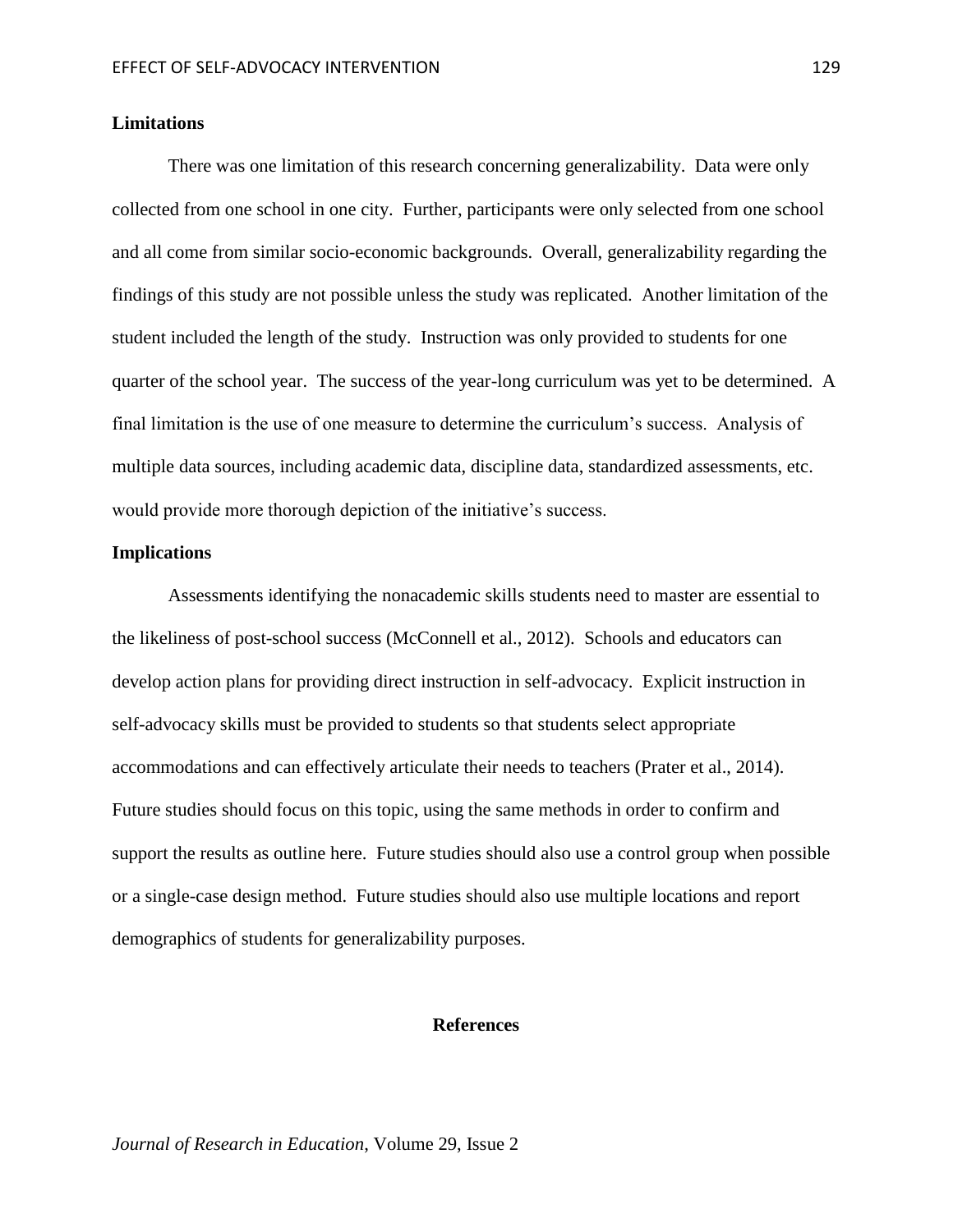### **Limitations**

There was one limitation of this research concerning generalizability. Data were only collected from one school in one city. Further, participants were only selected from one school and all come from similar socio-economic backgrounds. Overall, generalizability regarding the findings of this study are not possible unless the study was replicated. Another limitation of the student included the length of the study. Instruction was only provided to students for one quarter of the school year. The success of the year-long curriculum was yet to be determined. A final limitation is the use of one measure to determine the curriculum's success. Analysis of multiple data sources, including academic data, discipline data, standardized assessments, etc. would provide more thorough depiction of the initiative's success.

## **Implications**

Assessments identifying the nonacademic skills students need to master are essential to the likeliness of post-school success (McConnell et al., 2012). Schools and educators can develop action plans for providing direct instruction in self-advocacy. Explicit instruction in self-advocacy skills must be provided to students so that students select appropriate accommodations and can effectively articulate their needs to teachers (Prater et al., 2014). Future studies should focus on this topic, using the same methods in order to confirm and support the results as outline here. Future studies should also use a control group when possible or a single-case design method. Future studies should also use multiple locations and report demographics of students for generalizability purposes.

## **References**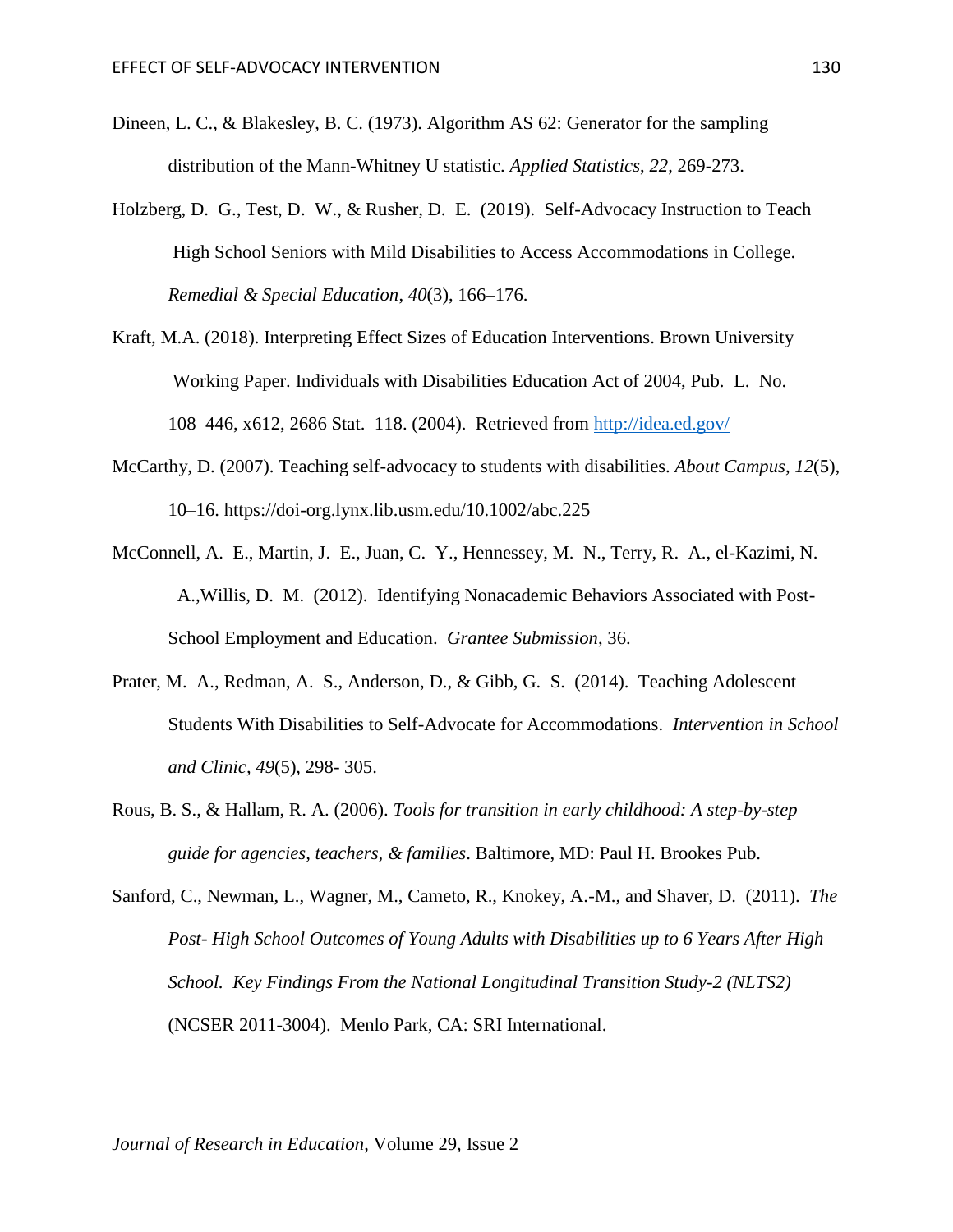- Dineen, L. C., & Blakesley, B. C. (1973). Algorithm AS 62: Generator for the sampling distribution of the Mann-Whitney U statistic. *Applied Statistics*, *22*, 269-273.
- Holzberg, D. G., Test, D. W., & Rusher, D. E. (2019). Self-Advocacy Instruction to Teach High School Seniors with Mild Disabilities to Access Accommodations in College. *Remedial & Special Education*, *40*(3), 166–176.
- Kraft, M.A. (2018). Interpreting Effect Sizes of Education Interventions. Brown University Working Paper. Individuals with Disabilities Education Act of 2004, Pub. L. No. 108–446, x612, 2686 Stat. 118. (2004). Retrieved from<http://idea.ed.gov/>
- McCarthy, D. (2007). Teaching self-advocacy to students with disabilities. *About Campus*, *12*(5), 10–16. https://doi-org.lynx.lib.usm.edu/10.1002/abc.225
- McConnell, A. E., Martin, J. E., Juan, C. Y., Hennessey, M. N., Terry, R. A., el-Kazimi, N. A.,Willis, D. M. (2012). Identifying Nonacademic Behaviors Associated with Post-School Employment and Education. *Grantee Submission*, 36.
- Prater, M. A., Redman, A. S., Anderson, D., & Gibb, G. S. (2014). Teaching Adolescent Students With Disabilities to Self-Advocate for Accommodations. *Intervention in School and Clinic, 49*(5), 298- 305.
- Rous, B. S., & Hallam, R. A. (2006). *Tools for transition in early childhood: A step-by-step guide for agencies, teachers, & families*. Baltimore, MD: Paul H. Brookes Pub.
- Sanford, C., Newman, L., Wagner, M., Cameto, R., Knokey, A.-M., and Shaver, D. (2011). *The Post- High School Outcomes of Young Adults with Disabilities up to 6 Years After High School. Key Findings From the National Longitudinal Transition Study-2 (NLTS2)*  (NCSER 2011-3004). Menlo Park, CA: SRI International.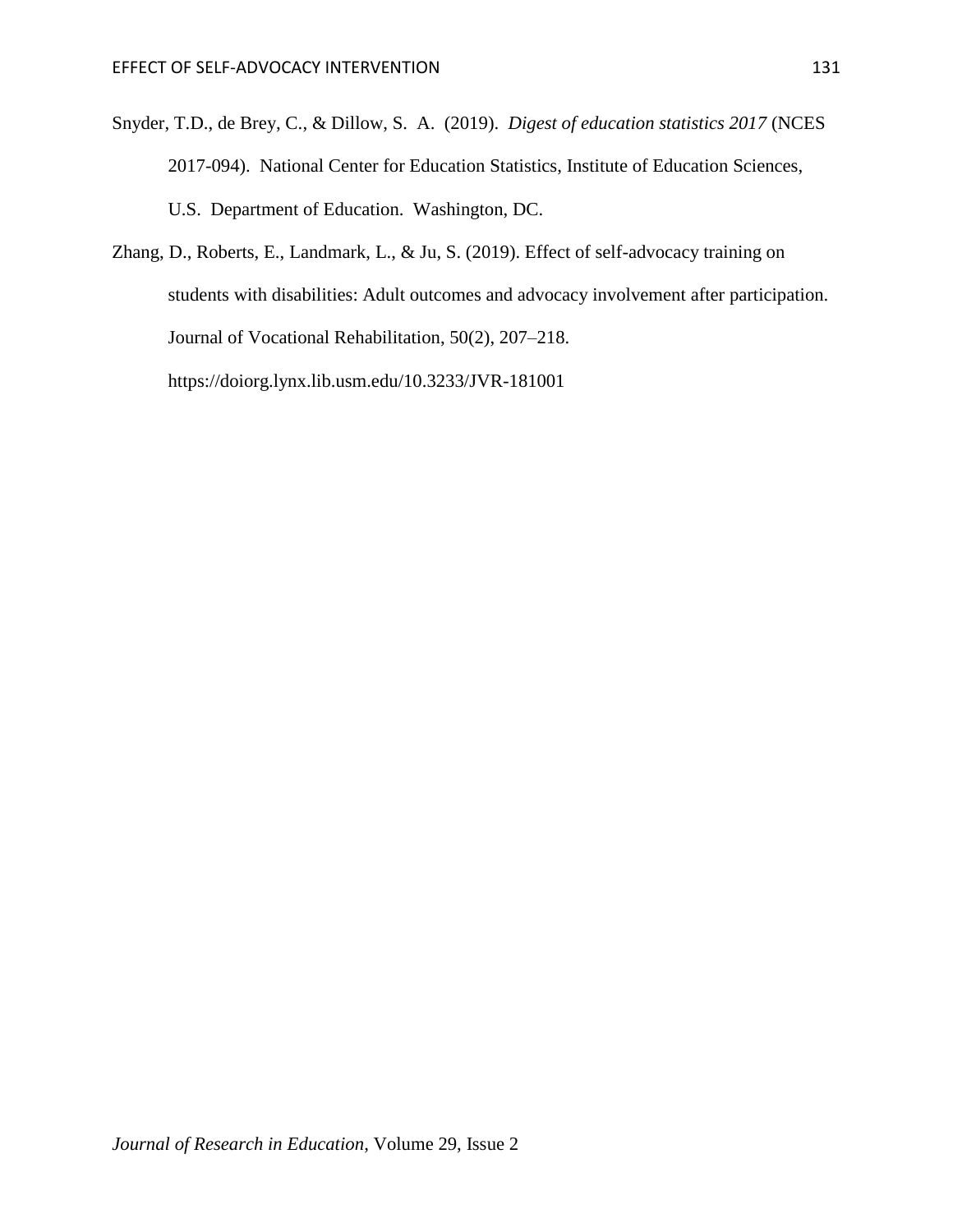- Snyder, T.D., de Brey, C., & Dillow, S. A. (2019). *Digest of education statistics 2017* (NCES 2017-094). National Center for Education Statistics, Institute of Education Sciences, U.S. Department of Education. Washington, DC.
- Zhang, D., Roberts, E., Landmark, L., & Ju, S. (2019). Effect of self-advocacy training on students with disabilities: Adult outcomes and advocacy involvement after participation. Journal of Vocational Rehabilitation, 50(2), 207–218. https://doiorg.lynx.lib.usm.edu/10.3233/JVR-181001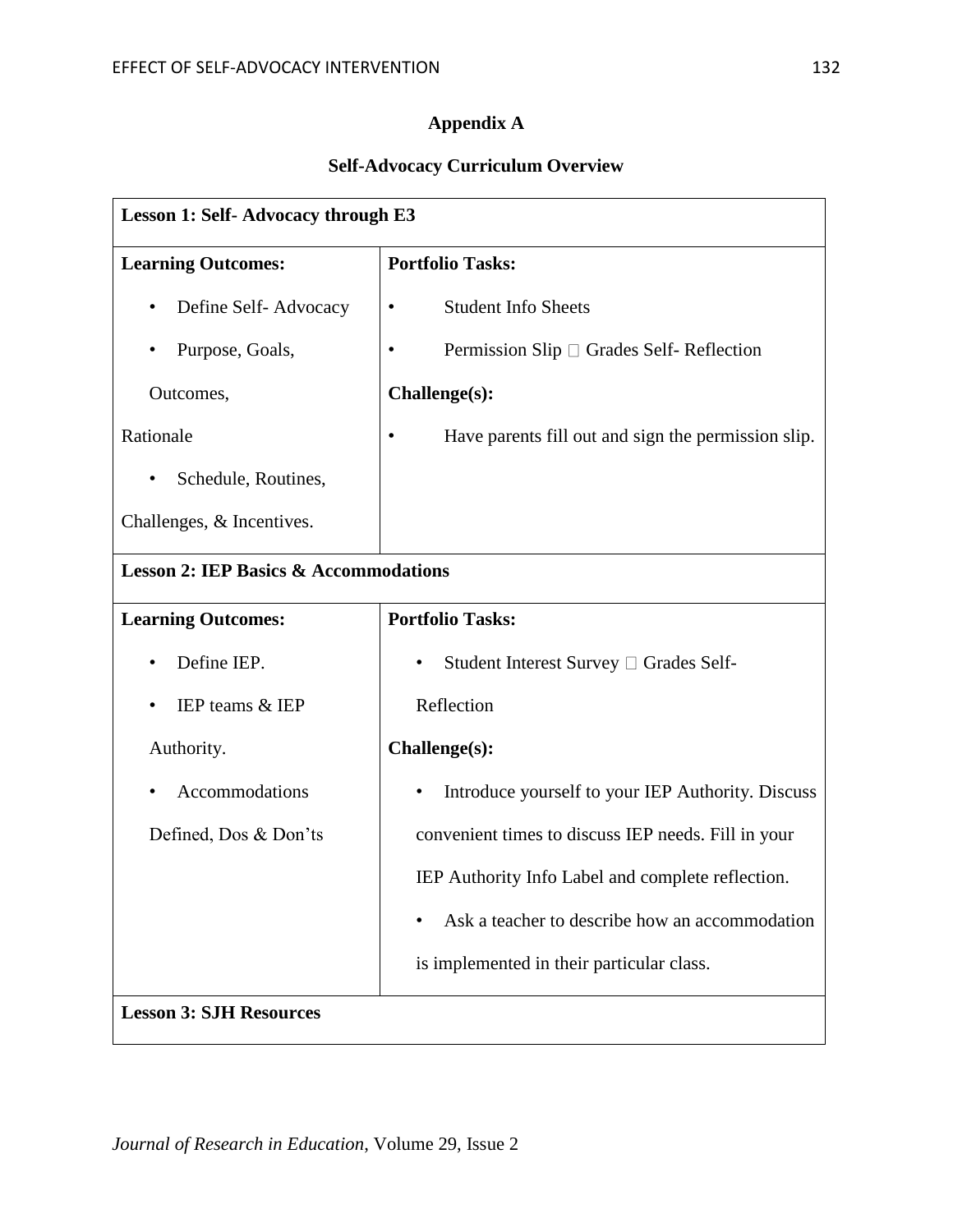# **Appendix A**

# **Self-Advocacy Curriculum Overview**

| Lesson 1: Self- Advocacy through E3              |                                                                |  |
|--------------------------------------------------|----------------------------------------------------------------|--|
| <b>Learning Outcomes:</b>                        | <b>Portfolio Tasks:</b>                                        |  |
| Define Self-Advocacy<br>$\bullet$                | <b>Student Info Sheets</b><br>$\bullet$                        |  |
| Purpose, Goals,                                  | Permission Slip $\Box$ Grades Self-Reflection<br>٠             |  |
| Outcomes,                                        | Challenge(s):                                                  |  |
| Rationale                                        | Have parents fill out and sign the permission slip.            |  |
| Schedule, Routines,<br>$\bullet$                 |                                                                |  |
| Challenges, & Incentives.                        |                                                                |  |
| <b>Lesson 2: IEP Basics &amp; Accommodations</b> |                                                                |  |
| <b>Learning Outcomes:</b>                        | <b>Portfolio Tasks:</b>                                        |  |
| Define IEP.                                      | Student Interest Survey □ Grades Self-<br>٠                    |  |
| IEP teams & IEP                                  | Reflection                                                     |  |
| Authority.                                       | Challenge(s):                                                  |  |
| Accommodations<br>٠                              | Introduce yourself to your IEP Authority. Discuss<br>$\bullet$ |  |
| Defined, Dos & Don'ts                            | convenient times to discuss IEP needs. Fill in your            |  |
|                                                  | IEP Authority Info Label and complete reflection.              |  |
|                                                  | Ask a teacher to describe how an accommodation                 |  |
|                                                  | is implemented in their particular class.                      |  |
| <b>Lesson 3: SJH Resources</b>                   |                                                                |  |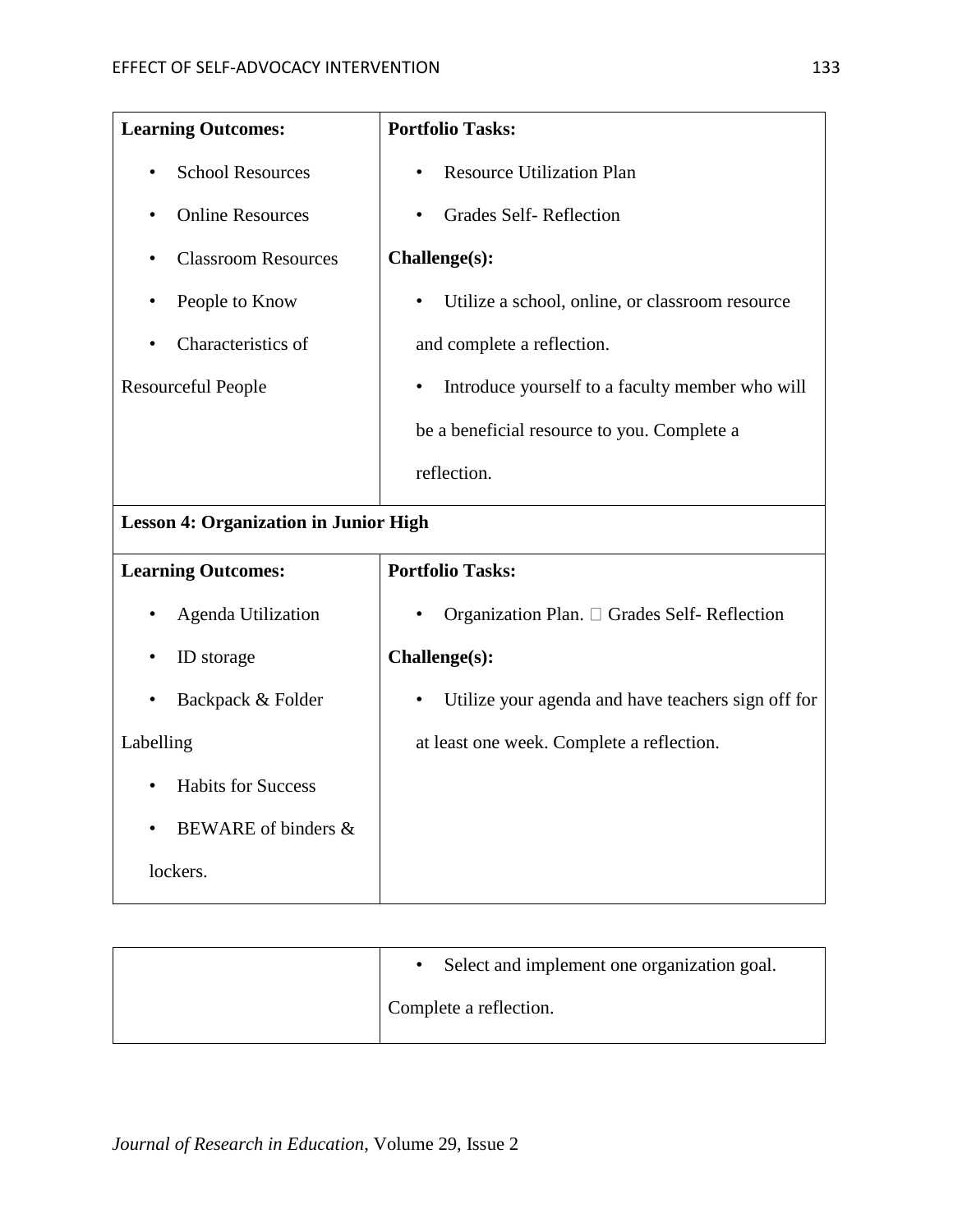| <b>Learning Outcomes:</b>                    | <b>Portfolio Tasks:</b>                                         |
|----------------------------------------------|-----------------------------------------------------------------|
| <b>School Resources</b>                      | <b>Resource Utilization Plan</b>                                |
| <b>Online Resources</b>                      | <b>Grades Self-Reflection</b>                                   |
| <b>Classroom Resources</b>                   | Challenge(s):                                                   |
| People to Know                               | Utilize a school, online, or classroom resource<br>٠            |
| Characteristics of                           | and complete a reflection.                                      |
| <b>Resourceful People</b>                    | Introduce yourself to a faculty member who will                 |
|                                              | be a beneficial resource to you. Complete a                     |
|                                              | reflection.                                                     |
| <b>Lesson 4: Organization in Junior High</b> |                                                                 |
| <b>Learning Outcomes:</b>                    | <b>Portfolio Tasks:</b>                                         |
| Agenda Utilization                           | Organization Plan. □ Grades Self- Reflection                    |
| ID storage                                   | Challenge(s):                                                   |
| Backpack & Folder                            | Utilize your agenda and have teachers sign off for<br>$\bullet$ |
| Labelling                                    | at least one week. Complete a reflection.                       |
| <b>Habits for Success</b><br>$\bullet$       |                                                                 |
| BEWARE of binders &                          |                                                                 |
| lockers.                                     |                                                                 |

| Select and implement one organization goal. |
|---------------------------------------------|
| Complete a reflection.                      |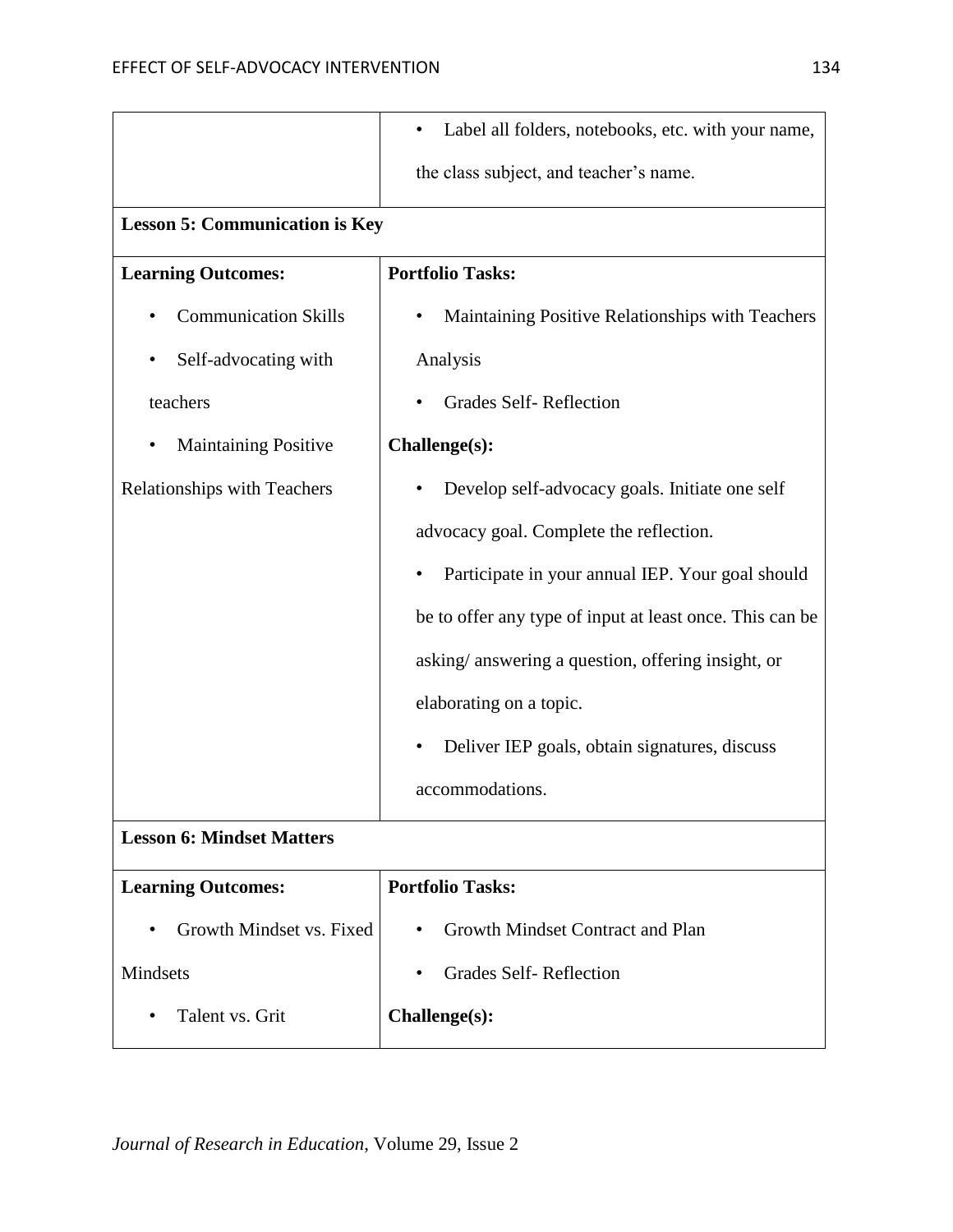|                                          | Label all folders, notebooks, etc. with your name,       |  |
|------------------------------------------|----------------------------------------------------------|--|
|                                          | the class subject, and teacher's name.                   |  |
| <b>Lesson 5: Communication is Key</b>    |                                                          |  |
| <b>Learning Outcomes:</b>                | <b>Portfolio Tasks:</b>                                  |  |
| <b>Communication Skills</b>              | Maintaining Positive Relationships with Teachers         |  |
| Self-advocating with<br>٠                | Analysis                                                 |  |
| teachers                                 | <b>Grades Self-Reflection</b>                            |  |
| <b>Maintaining Positive</b><br>$\bullet$ | Challenge(s):                                            |  |
| <b>Relationships with Teachers</b>       | Develop self-advocacy goals. Initiate one self           |  |
|                                          | advocacy goal. Complete the reflection.                  |  |
|                                          | Participate in your annual IEP. Your goal should         |  |
|                                          | be to offer any type of input at least once. This can be |  |
|                                          | asking/answering a question, offering insight, or        |  |
|                                          | elaborating on a topic.                                  |  |
|                                          | Deliver IEP goals, obtain signatures, discuss<br>٠       |  |
|                                          | accommodations.                                          |  |
| <b>Lesson 6: Mindset Matters</b>         |                                                          |  |
| <b>Learning Outcomes:</b>                | <b>Portfolio Tasks:</b>                                  |  |
| Growth Mindset vs. Fixed<br>$\bullet$    | Growth Mindset Contract and Plan<br>$\bullet$            |  |
| Mindsets                                 | <b>Grades Self-Reflection</b>                            |  |
| Talent vs. Grit<br>$\bullet$             | Challenge(s):                                            |  |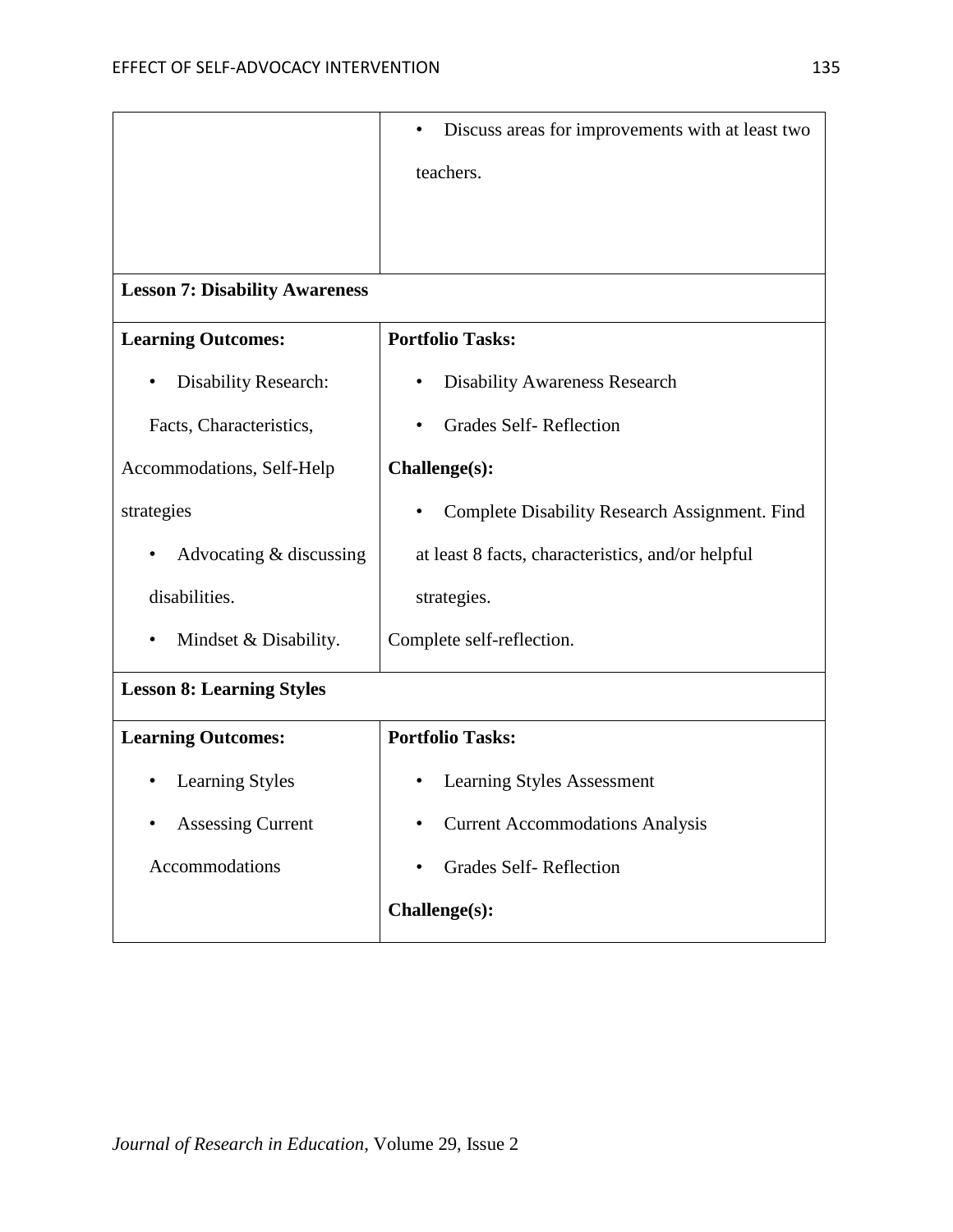|                                          | Discuss areas for improvements with at least two<br>$\bullet$ |  |
|------------------------------------------|---------------------------------------------------------------|--|
|                                          | teachers.                                                     |  |
|                                          |                                                               |  |
|                                          |                                                               |  |
| <b>Lesson 7: Disability Awareness</b>    |                                                               |  |
| <b>Learning Outcomes:</b>                | <b>Portfolio Tasks:</b>                                       |  |
| <b>Disability Research:</b><br>$\bullet$ | <b>Disability Awareness Research</b><br>٠                     |  |
| Facts, Characteristics,                  | Grades Self-Reflection                                        |  |
| Accommodations, Self-Help                | Challenge(s):                                                 |  |
| strategies                               | Complete Disability Research Assignment. Find<br>٠            |  |
| Advocating & discussing<br>٠             | at least 8 facts, characteristics, and/or helpful             |  |
| disabilities.                            | strategies.                                                   |  |
| Mindset & Disability.<br>$\bullet$       | Complete self-reflection.                                     |  |
| <b>Lesson 8: Learning Styles</b>         |                                                               |  |
| <b>Learning Outcomes:</b>                | <b>Portfolio Tasks:</b>                                       |  |
| <b>Learning Styles</b>                   | <b>Learning Styles Assessment</b>                             |  |
| <b>Assessing Current</b>                 | <b>Current Accommodations Analysis</b>                        |  |
| Accommodations                           | <b>Grades Self-Reflection</b><br>٠                            |  |
|                                          | Challenge(s):                                                 |  |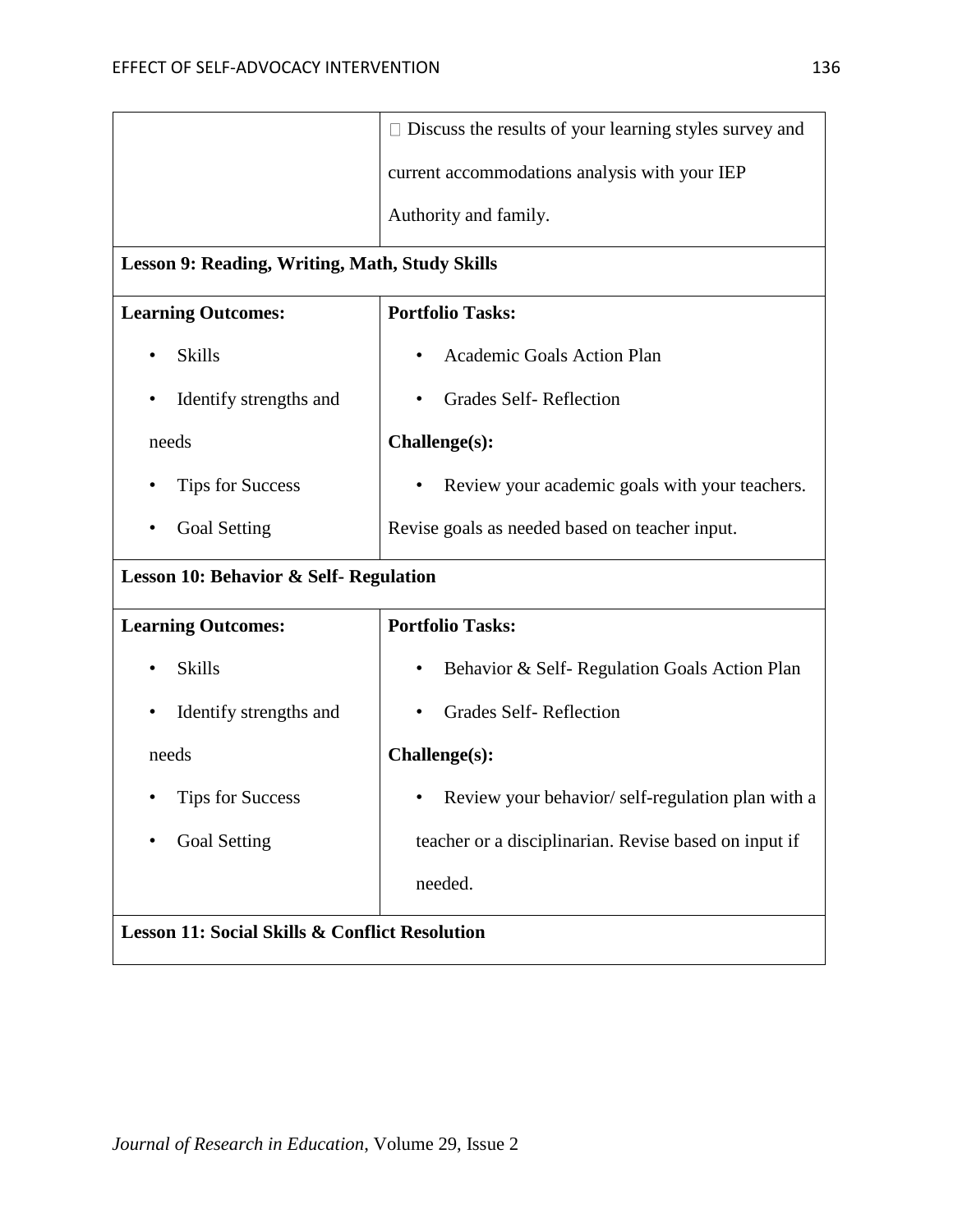|                                                           | $\Box$ Discuss the results of your learning styles survey and |  |
|-----------------------------------------------------------|---------------------------------------------------------------|--|
|                                                           | current accommodations analysis with your IEP                 |  |
|                                                           | Authority and family.                                         |  |
| Lesson 9: Reading, Writing, Math, Study Skills            |                                                               |  |
| <b>Learning Outcomes:</b>                                 | <b>Portfolio Tasks:</b>                                       |  |
| <b>Skills</b><br>$\bullet$                                | Academic Goals Action Plan                                    |  |
| Identify strengths and<br>$\bullet$                       | <b>Grades Self-Reflection</b>                                 |  |
| needs                                                     | Challenge(s):                                                 |  |
| <b>Tips for Success</b><br>٠                              | Review your academic goals with your teachers.                |  |
| <b>Goal Setting</b><br>٠                                  | Revise goals as needed based on teacher input.                |  |
| <b>Lesson 10: Behavior &amp; Self- Regulation</b>         |                                                               |  |
| <b>Learning Outcomes:</b>                                 | <b>Portfolio Tasks:</b>                                       |  |
| <b>Skills</b><br>٠                                        | Behavior & Self-Regulation Goals Action Plan<br>٠             |  |
| Identify strengths and<br>$\bullet$                       | <b>Grades Self-Reflection</b>                                 |  |
| needs                                                     | Challenge(s):                                                 |  |
| <b>Tips for Success</b>                                   | Review your behavior/self-regulation plan with a              |  |
| <b>Goal Setting</b>                                       | teacher or a disciplinarian. Revise based on input if         |  |
|                                                           | needed.                                                       |  |
| <b>Lesson 11: Social Skills &amp; Conflict Resolution</b> |                                                               |  |